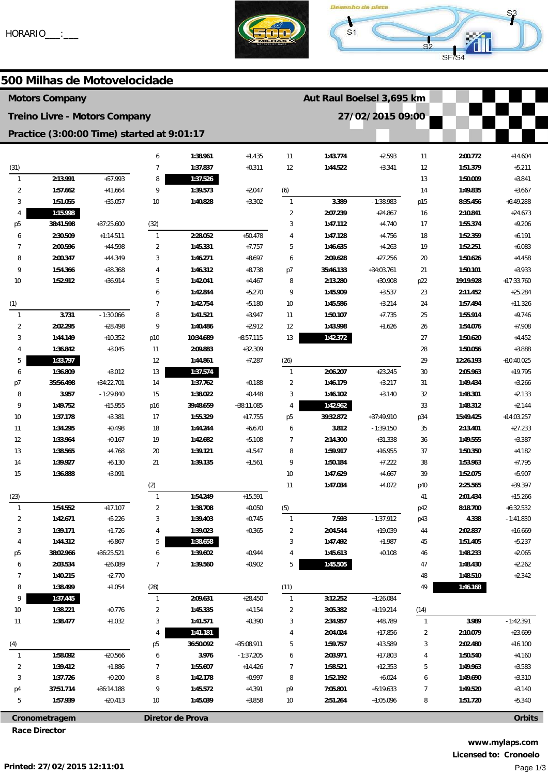



500 Milhas de Motovelocidade

| <b>Motors Company</b>                      |               |                                      |                |                  |              |                | Aut Raul Boelsel 3,695 km |                  |                |           |               |
|--------------------------------------------|---------------|--------------------------------------|----------------|------------------|--------------|----------------|---------------------------|------------------|----------------|-----------|---------------|
|                                            |               | <b>Treino Livre - Motors Company</b> |                |                  |              |                |                           | 27/02/2015 09:00 |                |           |               |
| Practice (3:00:00 Time) started at 9:01:17 |               |                                      |                |                  |              |                |                           |                  |                |           |               |
|                                            |               |                                      | 6              | 1:38.961         | $+1.435$     | 11             | 1:43.774                  | $+2.593$         | 11             | 2:00.772  | $+14.604$     |
| (31)                                       |               |                                      | $\overline{7}$ | 1:37.837         | $+0.311$     | 12             | 1:44.522                  | $+3.341$         | 12             | 1:51.379  | $+5.211$      |
| $\mathbf{1}$                               | 2:13.991      | $+57.993$                            | 8              | 1:37.526         |              |                |                           |                  | 13             | 1:50.009  | $+3.841$      |
| $\overline{2}$                             | 1:57.662      | $+41.664$                            | 9              | 1:39.573         | $+2.047$     | (6)            |                           |                  | 14             | 1:49.835  | $+3.667$      |
| 3                                          | 1:51.055      | $+35.057$                            | 10             | 1:40.828         | $+3.302$     | $\mathbf{1}$   | 3.389                     | $-1:38.983$      | p15            | 8:35.456  | $+6:49.288$   |
| 4                                          | 1:15.998      |                                      |                |                  |              | $\overline{2}$ | 2:07.239                  | $+24.867$        | 16             | 2:10.841  | $+24.673$     |
| p <sub>5</sub>                             | 38:41.598     | $+37:25.600$                         | (32)           |                  |              | 3              | 1:47.112                  | $+4.740$         | 17             | 1:55.374  | $+9.206$      |
| 6                                          | 2:30.509      | $+1:14.511$                          | $\overline{1}$ | 2:28.052         | $+50.478$    | $\overline{4}$ | 1:47.128                  | $+4.756$         | 18             | 1:52.359  | $+6.191$      |
| 7                                          | 2:00.596      | $+44.598$                            | $\overline{2}$ | 1:45.331         | $+7.757$     | 5              | 1:46.635                  | $+4.263$         | 19             | 1:52.251  | $+6.083$      |
| 8                                          | 2:00.347      | $+44.349$                            | 3              | 1:46.271         | $+8.697$     | 6              | 2:09.628                  | $+27.256$        | 20             | 1:50.626  | $+4.458$      |
| 9                                          | 1:54.366      | $+38.368$                            | $\overline{4}$ | 1:46.312         | $+8.738$     | p7             | 35:46.133                 | $+34:03.761$     | 21             | 1:50.101  | $+3.933$      |
| 10                                         | 1:52.912      | $+36.914$                            | 5              | 1:42.041         | $+4.467$     | 8              | 2:13.280                  | $+30.908$        | p22            | 19:19.928 | $+17:33.760$  |
|                                            |               |                                      | 6              | 1:42.844         | $+5.270$     | 9              | 1:45.909                  | $+3.537$         | 23             | 2:11.452  | $+25.284$     |
| (1)                                        |               |                                      | $\overline{7}$ | 1:42.754         | $+5.180$     | $10$           | 1:45.586                  | $+3.214$         | 24             | 1:57.494  | $+11.326$     |
| $\mathbf{1}$                               | 3.731         | $-1:30.066$                          | 8              | 1:41.521         | $+3.947$     | 11             | 1:50.107                  | $+7.735$         | 25             | 1:55.914  | $+9.746$      |
| $\overline{2}$                             | 2:02.295      | $+28.498$                            | 9              | 1:40.486         | $+2.912$     | 12             | 1:43.998                  | $+1.626$         | 26             | 1:54.076  | $+7.908$      |
| 3                                          | 1:44.149      | $+10.352$                            | p10            | 10:34.689        | $+8:57.115$  | 13             | 1:42.372                  |                  | 27             | 1:50.620  | $+4.452$      |
| 4                                          | 1:36.842      | $+3.045$                             | 11             | 2:09.883         | $+32.309$    |                |                           |                  | 28             | 1:50.056  | $+3.888$      |
| 5                                          | 1:33.797      |                                      | 12             | 1:44.861         | $+7.287$     | (26)           |                           |                  | 29             | 12:26.193 | $+10:40.025$  |
| 6                                          | 1:36.809      | $+3.012$                             | 13             | 1:37.574         |              | $\mathbf{1}$   | 2:06.207                  | $+23.245$        | 30             | 2:05.963  | $+19.795$     |
| p7                                         | 35:56.498     | +34:22.701                           | 14             | 1:37.762         | $+0.188$     | $\overline{2}$ | 1:46.179                  | $+3.217$         | 31             | 1:49.434  | $+3.266$      |
| 8                                          | 3.957         | $-1:29.840$                          | 15             | 1:38.022         | $+0.448$     | 3              | 1:46.102                  | $+3.140$         | 32             | 1:48.301  | $+2.133$      |
| 9                                          | 1:49.752      | $+15.955$                            | p16            | 39:48.659        | $+38:11.085$ | $\overline{4}$ | 1:42.962                  |                  | 33             | 1:48.312  | $+2.144$      |
| 10                                         | 1:37.178      | $+3.381$                             | 17             | 1:55.329         | $+17.755$    | p <sub>5</sub> | 39:32.872                 | $+37:49.910$     | p34            | 15:49.425 | $+14:03.257$  |
| 11                                         | 1:34.295      | $+0.498$                             | 18             | 1:44.244         | $+6.670$     | 6              | 3.812                     | $-1:39.150$      | 35             | 2:13.401  | $+27.233$     |
| 12                                         | 1:33.964      | $+0.167$                             | 19             | 1:42.682         | $+5.108$     | $\overline{7}$ | 2:14.300                  | $+31.338$        | 36             | 1:49.555  | $+3.387$      |
| 13                                         | 1:38.565      | $+4.768$                             | 20             | 1:39.121         | $+1.547$     | 8              | 1:59.917                  | $+16.955$        | 37             | 1:50.350  | $+4.182$      |
| 14                                         | 1:39.927      | $+6.130$                             | 21             | 1:39.135         | $+1.561$     | 9              | 1:50.184                  | $+7.222$         | 38             | 1:53.963  | $+7.795$      |
| 15                                         | 1:36.888      | $+3.091$                             |                |                  |              | $10$           | 1:47.629                  | $+4.667$         | 39             | 1:52.075  | $+5.907$      |
|                                            |               |                                      | (2)            |                  |              | 11             | 1:47.034                  | $+4.072$         | p40            | 2:25.565  | $+39.397$     |
| (23)                                       |               |                                      | $\overline{1}$ | 1:54.249         | $+15.591$    |                |                           |                  | 41             | 2:01.434  | $+15.266$     |
|                                            | 1:54.552      | $+17.107$                            | 2              | 1:38.708         | $+0.050$     | (5)            |                           |                  | p42            | 8:18.700  | $+6:32.532$   |
| 2                                          | 1:42.671      | $+5.226$                             | 3              | 1:39.403         | $+0.745$     | $\mathbf{1}$   | 7.593                     | $-1:37.912$      | p43            | 4.338     | $-1:41.830$   |
| 3                                          | 1:39.171      | $+1.726$                             | 4              | 1:39.023         | $+0.365$     | $\overline{2}$ | 2:04.544                  | $+19.039$        | 44             | 2:02.837  | $+16.669$     |
| 4                                          | 1:44.312      | $+6.867$                             | 5              | 1:38.658         |              | 3              | 1:47.492                  | $+1.987$         | 45             | 1:51.405  | $+5.237$      |
| p <sub>5</sub>                             | 38:02.966     | $+36:25.521$                         | 6              | 1:39.602         | $+0.944$     | 4              | 1:45.613                  | $+0.108$         | 46             | 1:48.233  | $+2.065$      |
| 6                                          | 2:03.534      | $+26.089$                            | $\overline{7}$ | 1:39.560         | $+0.902$     | 5              | 1:45.505                  |                  | 47             | 1:48.430  | $+2.262$      |
| 7                                          | 1:40.215      | $+2.770$                             |                |                  |              |                |                           |                  | 48             | 1:48.510  | $+2.342$      |
| 8                                          | 1:38.499      | $+1.054$                             | (28)           |                  |              | (11)           |                           |                  | 49             | 1:46.168  |               |
| 9                                          | 1:37.445      |                                      | $\mathbf{1}$   | 2:09.631         | $+28.450$    | $\mathbf{1}$   | 3:12.252                  | $+1:26.084$      |                |           |               |
| 10                                         | 1:38.221      | $+0.776$                             | $\overline{2}$ | 1:45.335         | $+4.154$     | $\overline{2}$ | 3:05.382                  | $+1:19.214$      | (14)           |           |               |
| 11                                         | 1:38.477      | $+1.032$                             | 3              | 1:41.571         | $+0.390$     | 3              | 2:34.957                  | $+48.789$        | $\mathbf{1}$   | 3.989     | $-1:42.391$   |
|                                            |               |                                      | 4              | 1:41.181         |              | $\overline{4}$ | 2:04.024                  | $+17.856$        | $\overline{c}$ | 2:10.079  | $+23.699$     |
| (4)                                        |               |                                      | p <sub>5</sub> | 36:50.092        | $+35:08.911$ | 5              | 1:59.757                  | $+13.589$        | 3              | 2:02.480  | $+16.100$     |
| $\mathbf{1}$                               | 1:58.092      | $+20.566$                            | 6              | 3.976            | $-1:37.205$  | 6              | 2:03.971                  | $+17.803$        | 4              | 1:50.540  | $+4.160$      |
| $\overline{2}$                             | 1:39.412      | $+1.886$                             | $\overline{7}$ | 1:55.607         | $+14.426$    | $\overline{7}$ | 1:58.521                  | $+12.353$        | 5              | 1:49.963  | $+3.583$      |
| 3                                          | 1:37.726      | $+0.200$                             | 8              | 1:42.178         | $+0.997$     | 8              | 1:52.192                  | $+6.024$         | 6              | 1:49.690  | $+3.310$      |
| p4                                         | 37:51.714     | +36:14.188                           | 9              | 1:45.572         | $+4.391$     | p9             | 7:05.801                  | $+5:19.633$      | $\overline{7}$ | 1:49.520  | $+3.140$      |
| 5                                          | 1:57.939      | $+20.413$                            | 10             | 1:45.039         | $+3.858$     | $10\,$         | 2:51.264                  | $+1:05.096$      | 8              | 1:51.720  | $+5.340$      |
|                                            | Cronometragem |                                      |                | Diretor de Prova |              |                |                           |                  |                |           | <b>Orbits</b> |

www.mylaps.com Licensed to: Cronoelo Page 1/3

**Race Director**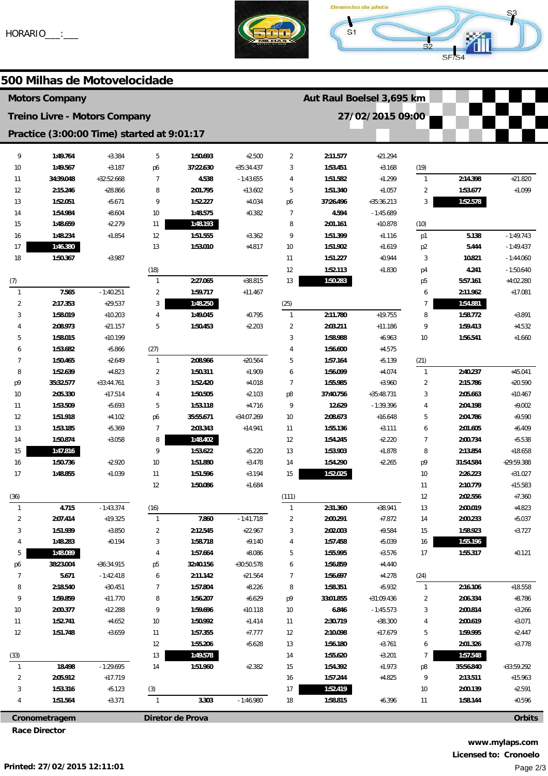



# 500 Milhas de Motovelocidade

| <b>Motors Company</b>                      |                      |                       |                     |                   |                          |                | Aut Raul Boelsel 3,695 km |                      |                |                      |                      |
|--------------------------------------------|----------------------|-----------------------|---------------------|-------------------|--------------------------|----------------|---------------------------|----------------------|----------------|----------------------|----------------------|
| <b>Treino Livre - Motors Company</b>       |                      |                       |                     |                   |                          |                |                           | 27/02/2015 09:00     |                |                      |                      |
| Practice (3:00:00 Time) started at 9:01:17 |                      |                       |                     |                   |                          |                |                           |                      |                |                      |                      |
| 9                                          | 1:49.764             | $+3.384$              | 5                   | 1:50.693          | $+2.500$                 | $\overline{2}$ | 2:11.577                  | $+21.294$            |                |                      |                      |
| 10                                         | 1:49.567             | $+3.187$              | p6                  | 37:22.630         | $+35:34.437$             | 3              | 1:53.451                  | $+3.168$             | (19)           |                      |                      |
| 11                                         | 34:39.048            | $+32:52.668$          | $\overline{7}$      | 4.538             | $-1:43.655$              | 4              | 1:51.582                  | $+1.299$             | $\mathbf{1}$   | 2:14.398             | $+21.820$            |
| 12                                         | 2:15.246             | $+28.866$             | 8                   | 2:01.795          | $+13.602$                | 5              | 1:51.340                  | $+1.057$             | $\overline{c}$ | 1:53.677             | $+1.099$             |
| 13                                         | 1:52.051             | $+5.671$              | 9                   | 1:52.227          | $+4.034$                 | p6             | 37:26.496                 | $+35:36.213$         | 3              | 1:52.578             |                      |
| 14                                         | 1:54.984             | $+8.604$              | 10 <sup>°</sup>     | 1:48.575          | $+0.382$                 | $\overline{7}$ | 4.594                     | $-1:45.689$          |                |                      |                      |
| 15                                         | 1:48.659             | $+2.279$              | 11                  | 1:48.193          |                          | 8              | 2:01.161                  | $+10.878$            | (10)           |                      |                      |
| 16                                         | 1:48.234             | $+1.854$              | 12                  | 1:51.555          | $+3.362$                 | 9              | 1:51.399                  | $+1.116$             | p1             | 5.138                | $-1:49.743$          |
| 17                                         | 1:46.380             |                       | 13                  | 1:53.010          | $+4.817$                 | 10             | 1:51.902                  | $+1.619$             | p <sub>2</sub> | 5.444                | $-1:49.437$          |
| 18                                         | 1:50.367             | $+3.987$              |                     |                   |                          | 11             | 1:51.227                  | $+0.944$             | 3              | 10.821               | $-1:44.060$          |
|                                            |                      |                       | (18)                |                   |                          | 12             | 1:52.113                  | $+1.830$             | p4             | 4.241                | $-1:50.640$          |
| (7)                                        |                      |                       | $\mathbf{1}$        | 2:27.065          | $+38.815$                | 13             | 1:50.283                  |                      | p <sub>5</sub> | 5:57.161             | $+4:02.280$          |
| $\mathbf{1}$                               | 7.565                | $-1:40.251$           | $\overline{2}$      | 1:59.717          | $+11.467$                |                |                           |                      | 6              | 2:11.962             | $+17.081$            |
| $\overline{2}$                             | 2:17.353             | $+29.537$             | 3                   | 1:48.250          |                          | (25)           |                           |                      | 7              | 1:54.881             |                      |
| 3                                          | 1:58.019             | $+10.203$             | 4                   | 1:49.045          | $+0.795$                 | $\overline{1}$ | 2:11.780                  | $+19.755$            | 8              | 1:58.772             | $+3.891$             |
|                                            | 2:08.973             | $+21.157$             | 5                   | 1:50.453          | $+2.203$                 | $\overline{2}$ | 2:03.211                  | $+11.186$            | 9              | 1:59.413             | $+4.532$             |
| 5                                          | 1:58.015             | $+10.199$             |                     |                   |                          | 3              | 1:58.988                  | $+6.963$             | 10             | 1:56.541             | $+1.660$             |
| 6                                          | 1:53.682             | $+5.866$              | (27)                |                   |                          |                | 1:56.600                  | $+4.575$             |                |                      |                      |
| 7                                          | 1:50.465             | $+2.649$              | $\mathbf{1}$        | 2:08.966          | $+20.564$                | 5              | 1:57.164                  | $+5.139$             | (21)           |                      |                      |
| 8                                          | 1:52.639             | $+4.823$              | $\overline{2}$      | 1:50.311          | $+1.909$                 | 6              | 1:56.099                  | $+4.074$             | $\mathbf{1}$   | 2:40.237             | $+45.041$            |
| p9                                         | 35:32.577            | $+33:44.761$          | 3                   | 1:52.420          | $+4.018$                 | $\overline{7}$ | 1:55.985                  | $+3.960$             | $\overline{2}$ | 2:15.786             | $+20.590$            |
| 10                                         | 2:05.330             | $+17.514$             | 4                   | 1:50.505          | $+2.103$                 | p8             | 37:40.756                 | $+35:48.731$         | 3              | 2:05.663             | $+10.467$            |
| 11                                         | 1:53.509             | $+5.693$              | 5                   | 1:53.118          | $+4.716$                 | 9              | 12.629                    | $-1:39.396$          | 4              | 2:04.198             | $+9.002$             |
| 12                                         | 1:51.918             | $+4.102$              | p6                  | 35:55.671         | $+34:07.269$             | 10             | 2:08.673                  | $+16.648$            | 5              | 2:04.786             | $+9.590$             |
| 13                                         | 1:53.185             | $+5.369$              | $\overline{7}$      | 2:03.343          | $+14.941$                | 11             | 1:55.136                  | $+3.111$             | 6              | 2:01.605             | $+6.409$             |
| 14                                         | 1:50.874             | $+3.058$              | 8                   | 1:48.402          |                          | 12             | 1:54.245                  | $+2.220$             | $\overline{7}$ | 2:00.734             | $+5.538$             |
| 15                                         | 1:47.816             |                       | 9                   | 1:53.622          | $+5.220$                 | 13             | 1:53.903                  | $+1.878$             | 8              | 2:13.854             | $+18.658$            |
| 16                                         | 1:50.736             | $+2.920$              | 10                  | 1:51.880          | $+3.478$                 | 14             | 1:54.290                  | $+2.265$             | p9             | 31:54.584            | +29:59.388           |
| 17                                         | 1:48.855             | $+1.039$              | 11                  | 1:51.596          | $+3.194$                 | 15             | 1:52.025                  |                      | 10             | 2:26.223             | $+31.027$            |
|                                            |                      |                       | 12                  | 1:50.086          | $+1.684$                 |                |                           |                      | 11             | 2:10.779             | $+15.583$            |
| (36)                                       |                      |                       |                     |                   |                          | (111)          |                           |                      | 12             | 2:02.556             | $+7.360$             |
|                                            | 4.715                | $-1:43.374$           | (16)                |                   |                          |                | 2:31.360                  | +38.941              | 13             | 2:00.019             | $+4.823$             |
| $\overline{2}$<br>3                        | 2:07.414<br>1:51.939 | $+19.325$<br>$+3.850$ | $\mathbf{1}$        | 7.860<br>2:12.545 | $-1:41.718$<br>$+22.967$ | 2              | 2:00.291<br>2:02.003      | $+7.872$<br>$+9.584$ | 14             | 2:00.233<br>1:58.923 | $+5.037$<br>$+3.727$ |
| 4                                          | 1:48.283             | $+0.194$              | $\overline{2}$<br>3 | 1:58.718          | $+9.140$                 | 3<br>4         | 1:57.458                  | $+5.039$             | 15<br>16       | 1:55.196             |                      |
| 5                                          | 1:48.089             |                       | 4                   | 1:57.664          | $+8.086$                 | 5              | 1:55.995                  | $+3.576$             | 17             | 1:55.317             | $+0.121$             |
| p6                                         | 38:23.004            | +36:34.915            | p5                  | 32:40.156         | $+30:50.578$             | 6              | 1:56.859                  | $+4.440$             |                |                      |                      |
| 7                                          | 5.671                | $-1:42.418$           | 6                   | 2:11.142          | $+21.564$                | 7              | 1:56.697                  | $+4.278$             | (24)           |                      |                      |
| 8                                          | 2:18.540             | $+30.451$             | $\overline{7}$      | 1:57.804          | $+8.226$                 | 8              | 1:58.351                  | $+5.932$             | $\mathbf{1}$   | 2:16.106             | $+18.558$            |
| 9                                          | 1:59.859             | $+11.770$             | 8                   | 1:56.207          | $+6.629$                 | p9             | 33:01.855                 | $+31:09.436$         | $\overline{c}$ | 2:06.334             | $+8.786$             |
| 10                                         | 2:00.377             | $+12.288$             | 9                   | 1:59.696          | $+10.118$                | 10             | 6.846                     | $-1:45.573$          | 3              | 2:00.814             | $+3.266$             |
| 11                                         | 1:52.741             | $+4.652$              | 10                  | 1:50.992          | $+1.414$                 | 11             | 2:30.719                  | $+38.300$            | 4              | 2:00.619             | $+3.071$             |
| 12                                         | 1:51.748             | $+3.659$              | 11                  | 1:57.355          | $+7.777$                 | 12             | 2:10.098                  | $+17.679$            | 5              | 1:59.995             | $+2.447$             |
|                                            |                      |                       | 12                  | 1:55.206          | $+5.628$                 | 13             | 1:56.180                  | $+3.761$             | 6              | 2:01.326             | $+3.778$             |
| (33)                                       |                      |                       | 13                  | 1:49.578          |                          | 14             | 1:55.620                  | $+3.201$             | $\overline{7}$ | 1:57.548             |                      |
| $\mathbf{1}$                               | 18.498               | $-1:29.695$           | 14                  | 1:51.960          | $+2.382$                 | 15             | 1:54.392                  | $+1.973$             | p8             | 35:56.840            | +33:59.292           |
| $\overline{a}$                             | 2:05.912             | $+17.719$             |                     |                   |                          | 16             | 1:57.244                  | $+4.825$             | 9              | 2:13.511             | $+15.963$            |
| 3                                          | 1:53.316             | $+5.123$              | (3)                 |                   |                          | 17             | 1:52.419                  |                      | 10             | 2:00.139             | $+2.591$             |
| 4                                          | 1:51.564             | $+3.371$              | $\mathbf{1}$        | 3.303             | $-1:46.980$              | 18             | 1:58.815                  | $+6.396$             | 11             | 1:58.144             | $+0.596$             |
|                                            |                      |                       |                     |                   |                          |                |                           |                      |                |                      |                      |
| Cronometragem<br>Diretor de Prova          |                      |                       |                     |                   |                          |                |                           |                      | <b>Orbits</b>  |                      |                      |

**Race Director**